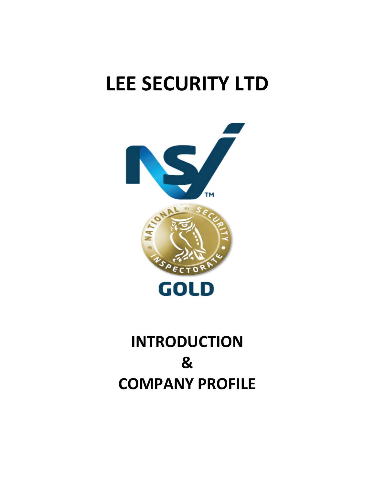

## **INTRODUCTION & COMPANY PROFILE**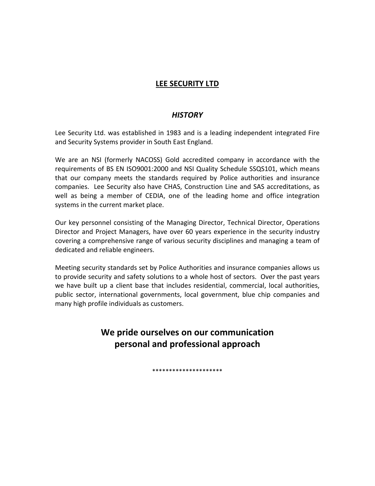#### *HISTORY*

Lee Security Ltd. was established in 1983 and is a leading independent integrated Fire and Security Systems provider in South East England.

We are an NSI (formerly NACOSS) Gold accredited company in accordance with the requirements of BS EN ISO9001:2000 and NSI Quality Schedule SSQS101, which means that our company meets the standards required by Police authorities and insurance companies. Lee Security also have CHAS, Construction Line and SAS accreditations, as well as being a member of CEDIA, one of the leading home and office integration systems in the current market place.

Our key personnel consisting of the Managing Director, Technical Director, Operations Director and Project Managers, have over 60 years experience in the security industry covering a comprehensive range of various security disciplines and managing a team of dedicated and reliable engineers.

Meeting security standards set by Police Authorities and insurance companies allows us to provide security and safety solutions to a whole host of sectors. Over the past years we have built up a client base that includes residential, commercial, local authorities, public sector, international governments, local government, blue chip companies and many high profile individuals as customers.

### **We pride ourselves on our communication personal and professional approach**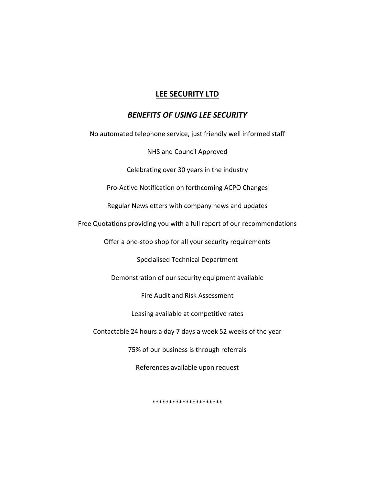#### *BENEFITS OF USING LEE SECURITY*

No automated telephone service, just friendly well informed staff

NHS and Council Approved

Celebrating over 30 years in the industry

Pro-Active Notification on forthcoming ACPO Changes

Regular Newsletters with company news and updates

Free Quotations providing you with a full report of our recommendations

Offer a one-stop shop for all your security requirements

Specialised Technical Department

Demonstration of our security equipment available

Fire Audit and Risk Assessment

Leasing available at competitive rates

Contactable 24 hours a day 7 days a week 52 weeks of the year

75% of our business is through referrals

References available upon request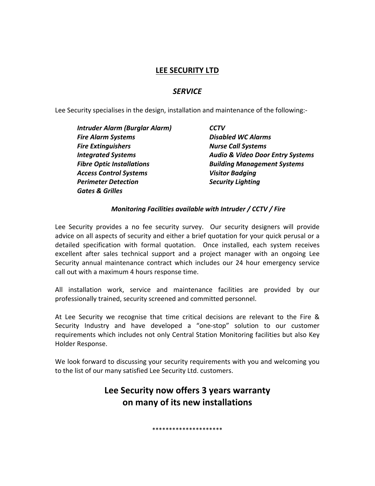#### *SERVICE*

Lee Security specialises in the design, installation and maintenance of the following:-

| Intruder Alarm (Burglar Alarm)   | <b>CCTV</b>                                 |  |
|----------------------------------|---------------------------------------------|--|
| <b>Fire Alarm Systems</b>        | <b>Disabled WC Alarms</b>                   |  |
| <b>Fire Extinguishers</b>        | <b>Nurse Call Systems</b>                   |  |
| <b>Integrated Systems</b>        | <b>Audio &amp; Video Door Entry Systems</b> |  |
| <b>Fibre Optic Installations</b> | <b>Building Management Systems</b>          |  |
| <b>Access Control Systems</b>    | <b>Visitor Badging</b>                      |  |
| <b>Perimeter Detection</b>       | <b>Security Lighting</b>                    |  |
| <b>Gates &amp; Grilles</b>       |                                             |  |

#### *Monitoring Facilities available with Intruder / CCTV / Fire*

Lee Security provides a no fee security survey. Our security designers will provide advice on all aspects of security and either a brief quotation for your quick perusal or a detailed specification with formal quotation. Once installed, each system receives excellent after sales technical support and a project manager with an ongoing Lee Security annual maintenance contract which includes our 24 hour emergency service call out with a maximum 4 hours response time.

All installation work, service and maintenance facilities are provided by our professionally trained, security screened and committed personnel.

At Lee Security we recognise that time critical decisions are relevant to the Fire & Security Industry and have developed a "one-stop" solution to our customer requirements which includes not only Central Station Monitoring facilities but also Key Holder Response.

We look forward to discussing your security requirements with you and welcoming you to the list of our many satisfied Lee Security Ltd. customers.

## **Lee Security now offers 3 years warranty on many of its new installations**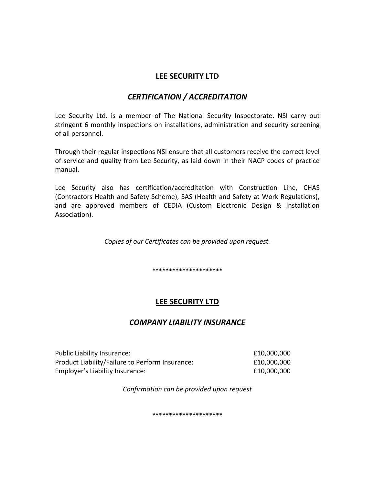#### *CERTIFICATION / ACCREDITATION*

Lee Security Ltd. is a member of The National Security Inspectorate. NSI carry out stringent 6 monthly inspections on installations, administration and security screening of all personnel.

Through their regular inspections NSI ensure that all customers receive the correct level of service and quality from Lee Security, as laid down in their NACP codes of practice manual.

Lee Security also has certification/accreditation with Construction Line, CHAS (Contractors Health and Safety Scheme), SAS (Health and Safety at Work Regulations), and are approved members of CEDIA (Custom Electronic Design & Installation Association).

*Copies of our Certificates can be provided upon request.* 

\*\*\*\*\*\*\*\*\*\*\*\*\*\*\*\*\*\*\*\*\*

#### **LEE SECURITY LTD**

#### *COMPANY LIABILITY INSURANCE*

| Public Liability Insurance:                     | £10,000,000 |
|-------------------------------------------------|-------------|
| Product Liability/Failure to Perform Insurance: | £10,000,000 |
| Employer's Liability Insurance:                 | £10,000,000 |

*Confirmation can be provided upon request*